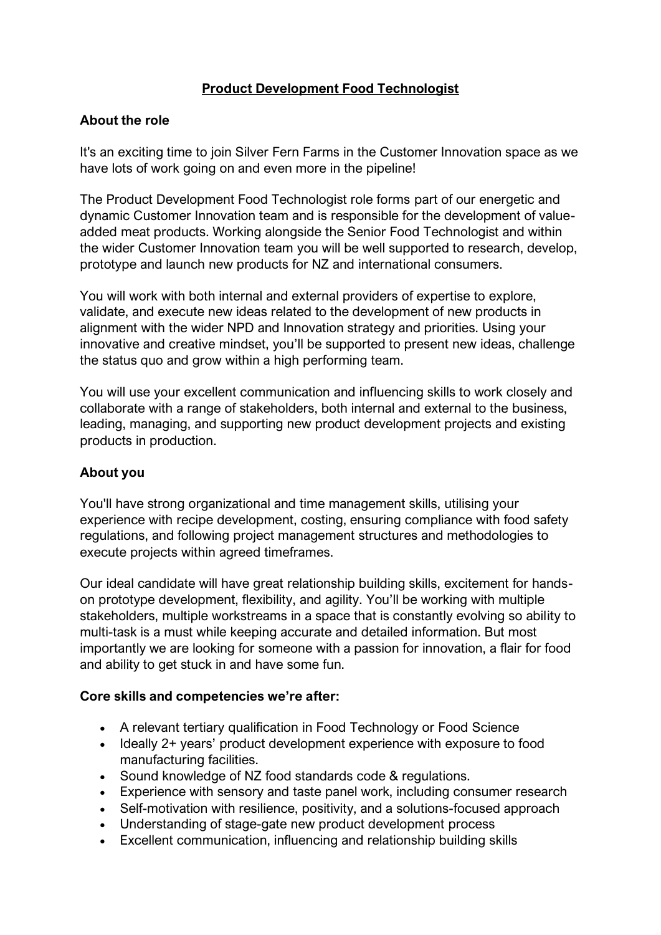# **Product Development Food Technologist**

#### **About the role**

It's an exciting time to join Silver Fern Farms in the Customer Innovation space as we have lots of work going on and even more in the pipeline!

The Product Development Food Technologist role forms part of our energetic and dynamic Customer Innovation team and is responsible for the development of valueadded meat products. Working alongside the Senior Food Technologist and within the wider Customer Innovation team you will be well supported to research, develop, prototype and launch new products for NZ and international consumers.

You will work with both internal and external providers of expertise to explore, validate, and execute new ideas related to the development of new products in alignment with the wider NPD and Innovation strategy and priorities. Using your innovative and creative mindset, you'll be supported to present new ideas, challenge the status quo and grow within a high performing team.

You will use your excellent communication and influencing skills to work closely and collaborate with a range of stakeholders, both internal and external to the business, leading, managing, and supporting new product development projects and existing products in production.

## **About you**

You'll have strong organizational and time management skills, utilising your experience with recipe development, costing, ensuring compliance with food safety regulations, and following project management structures and methodologies to execute projects within agreed timeframes.

Our ideal candidate will have great relationship building skills, excitement for handson prototype development, flexibility, and agility. You'll be working with multiple stakeholders, multiple workstreams in a space that is constantly evolving so ability to multi-task is a must while keeping accurate and detailed information. But most importantly we are looking for someone with a passion for innovation, a flair for food and ability to get stuck in and have some fun.

## **Core skills and competencies we're after:**

- A relevant tertiary qualification in Food Technology or Food Science
- Ideally 2+ years' product development experience with exposure to food manufacturing facilities.
- Sound knowledge of NZ food standards code & regulations.
- Experience with sensory and taste panel work, including consumer research
- Self-motivation with resilience, positivity, and a solutions-focused approach
- Understanding of stage-gate new product development process
- Excellent communication, influencing and relationship building skills